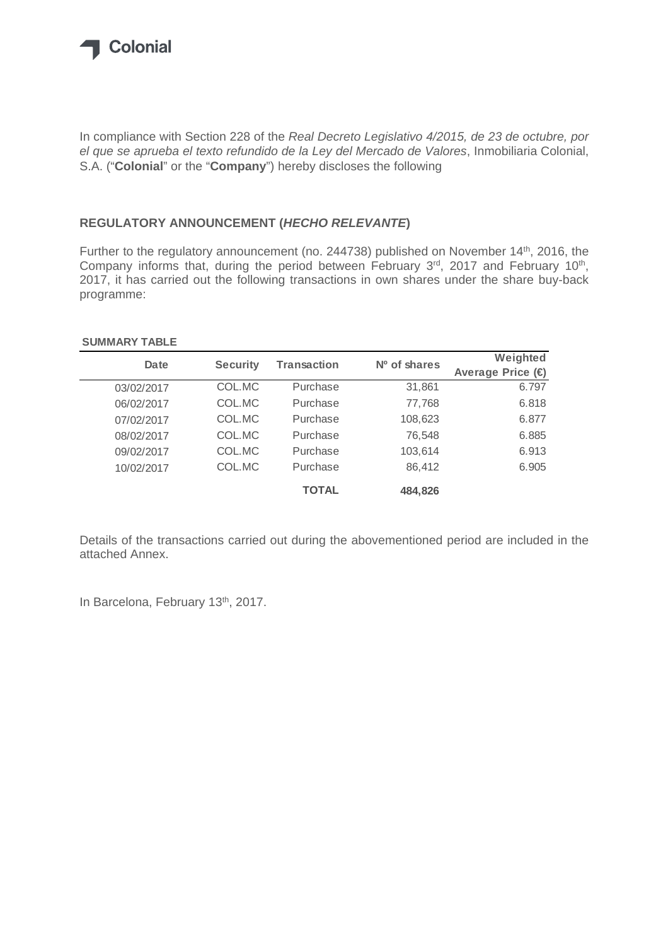

In compliance with Section 228 of the *Real Decreto Legislativo 4/2015, de 23 de octubre, por el que se aprueba el texto refundido de la Ley del Mercado de Valores*, Inmobiliaria Colonial, S.A. ("**Colonial**" or the "**Company**") hereby discloses the following

## **REGULATORY ANNOUNCEMENT (***HECHO RELEVANTE***)**

Further to the regulatory announcement (no. 244738) published on November 14<sup>th</sup>, 2016, the Company informs that, during the period between February 3rd, 2017 and February 10<sup>th</sup>, 2017, it has carried out the following transactions in own shares under the share buy-back programme:

## **SUMMARY TABLE**

| Date       | <b>Security</b> | Transaction  | $No$ of shares | Weighted         |
|------------|-----------------|--------------|----------------|------------------|
|            |                 |              |                | Average Price (€ |
| 03/02/2017 | COL.MC          | Purchase     | 31,861         | 6.797            |
| 06/02/2017 | COL.MC          | Purchase     | 77,768         | 6.818            |
| 07/02/2017 | COL.MC          | Purchase     | 108,623        | 6.877            |
| 08/02/2017 | COL.MC          | Purchase     | 76,548         | 6.885            |
| 09/02/2017 | COL.MC          | Purchase     | 103,614        | 6.913            |
| 10/02/2017 | COL.MC          | Purchase     | 86,412         | 6.905            |
|            |                 | <b>TOTAL</b> | 484,826        |                  |

Details of the transactions carried out during the abovementioned period are included in the attached Annex.

In Barcelona, February 13<sup>th</sup>, 2017.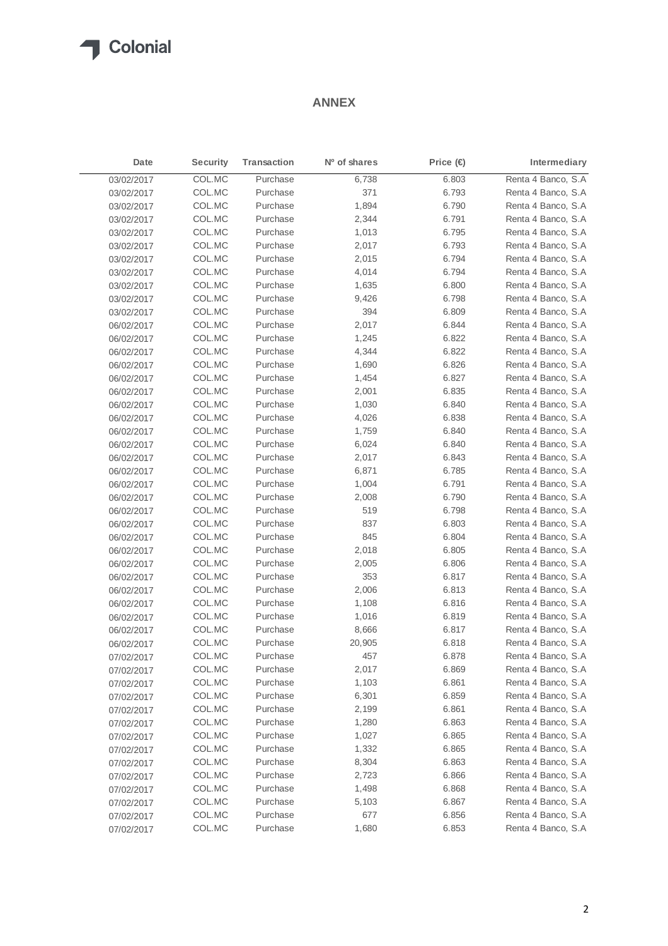## **T** Colonial

## **ANNEX**

| Date       | <b>Security</b> | <b>Transaction</b> | Nº of shares | Price (€) | Intermediary       |
|------------|-----------------|--------------------|--------------|-----------|--------------------|
| 03/02/2017 | COL.MC          | Purchase           | 6,738        | 6.803     | Renta 4 Banco, S.A |
| 03/02/2017 | COL.MC          | Purchase           | 371          | 6.793     | Renta 4 Banco, S.A |
| 03/02/2017 | COL.MC          | Purchase           | 1,894        | 6.790     | Renta 4 Banco, S.A |
| 03/02/2017 | COL.MC          | Purchase           | 2,344        | 6.791     | Renta 4 Banco, S.A |
| 03/02/2017 | COL.MC          | Purchase           | 1,013        | 6.795     | Renta 4 Banco, S.A |
| 03/02/2017 | COL.MC          | Purchase           | 2,017        | 6.793     | Renta 4 Banco, S.A |
| 03/02/2017 | COL.MC          | Purchase           | 2,015        | 6.794     | Renta 4 Banco, S.A |
| 03/02/2017 | COL.MC          | Purchase           | 4,014        | 6.794     | Renta 4 Banco, S.A |
| 03/02/2017 | COL.MC          | Purchase           | 1,635        | 6.800     | Renta 4 Banco, S.A |
| 03/02/2017 | COL.MC          | Purchase           | 9,426        | 6.798     | Renta 4 Banco, S.A |
| 03/02/2017 | COL.MC          | Purchase           | 394          | 6.809     | Renta 4 Banco, S.A |
| 06/02/2017 | COL.MC          | Purchase           | 2,017        | 6.844     | Renta 4 Banco, S.A |
| 06/02/2017 | COL.MC          | Purchase           | 1,245        | 6.822     | Renta 4 Banco, S.A |
| 06/02/2017 | COL.MC          | Purchase           | 4,344        | 6.822     | Renta 4 Banco, S.A |
| 06/02/2017 | COL.MC          | Purchase           | 1,690        | 6.826     | Renta 4 Banco, S.A |
| 06/02/2017 | COL.MC          | Purchase           | 1,454        | 6.827     | Renta 4 Banco, S.A |
| 06/02/2017 | COL.MC          | Purchase           | 2,001        | 6.835     | Renta 4 Banco, S.A |
| 06/02/2017 | COL.MC          | Purchase           | 1,030        | 6.840     | Renta 4 Banco, S.A |
| 06/02/2017 | COL.MC          | Purchase           | 4,026        | 6.838     | Renta 4 Banco, S.A |
| 06/02/2017 | COL.MC          | Purchase           | 1,759        | 6.840     | Renta 4 Banco, S.A |
| 06/02/2017 | COL.MC          | Purchase           | 6,024        | 6.840     | Renta 4 Banco, S.A |
| 06/02/2017 | COL.MC          | Purchase           | 2,017        | 6.843     | Renta 4 Banco, S.A |
| 06/02/2017 | COL.MC          | Purchase           | 6,871        | 6.785     | Renta 4 Banco, S.A |
| 06/02/2017 | COL.MC          | Purchase           | 1,004        | 6.791     | Renta 4 Banco, S.A |
| 06/02/2017 | COL.MC          | Purchase           | 2,008        | 6.790     | Renta 4 Banco, S.A |
| 06/02/2017 | COL.MC          | Purchase           | 519          | 6.798     | Renta 4 Banco, S.A |
| 06/02/2017 | COL.MC          | Purchase           | 837          | 6.803     | Renta 4 Banco, S.A |
| 06/02/2017 | COL.MC          | Purchase           | 845          | 6.804     | Renta 4 Banco, S.A |
| 06/02/2017 | COL.MC          | Purchase           | 2,018        | 6.805     | Renta 4 Banco, S.A |
| 06/02/2017 | COL.MC          | Purchase           | 2,005        | 6.806     | Renta 4 Banco, S.A |
| 06/02/2017 | COL.MC          | Purchase           | 353          | 6.817     | Renta 4 Banco, S.A |
| 06/02/2017 | COL.MC          | Purchase           | 2,006        | 6.813     | Renta 4 Banco, S.A |
| 06/02/2017 | COL.MC          | Purchase           | 1,108        | 6.816     | Renta 4 Banco, S.A |
| 06/02/2017 | COL.MC          | Purchase           | 1,016        | 6.819     | Renta 4 Banco, S.A |
| 06/02/2017 | COL.MC          | Purchase           | 8,666        | 6.817     | Renta 4 Banco, S.A |
| 06/02/2017 | COL.MC          | Purchase           | 20,905       | 6.818     | Renta 4 Banco, S.A |
| 07/02/2017 | COL.MC          | Purchase           | 457          | 6.878     | Renta 4 Banco, S.A |
| 07/02/2017 | COL.MC          | Purchase           | 2,017        | 6.869     | Renta 4 Banco, S.A |
| 07/02/2017 | COL.MC          | Purchase           | 1,103        | 6.861     | Renta 4 Banco, S.A |
| 07/02/2017 | COL.MC          | Purchase           | 6,301        | 6.859     | Renta 4 Banco, S.A |
| 07/02/2017 | COL.MC          | Purchase           | 2,199        | 6.861     | Renta 4 Banco, S.A |
| 07/02/2017 | COL.MC          | Purchase           | 1,280        | 6.863     | Renta 4 Banco, S.A |
| 07/02/2017 | COL.MC          | Purchase           | 1,027        | 6.865     | Renta 4 Banco, S.A |
| 07/02/2017 | COL.MC          | Purchase           | 1,332        | 6.865     | Renta 4 Banco, S.A |
| 07/02/2017 | COL.MC          | Purchase           | 8,304        | 6.863     | Renta 4 Banco, S.A |
| 07/02/2017 | COL.MC          | Purchase           | 2,723        | 6.866     | Renta 4 Banco, S.A |
| 07/02/2017 | COL.MC          | Purchase           | 1,498        | 6.868     | Renta 4 Banco, S.A |
| 07/02/2017 | COL.MC          | Purchase           | 5,103        | 6.867     | Renta 4 Banco, S.A |
| 07/02/2017 | COL.MC          | Purchase           | 677          | 6.856     | Renta 4 Banco, S.A |
| 07/02/2017 | COL.MC          | Purchase           | 1,680        | 6.853     | Renta 4 Banco, S.A |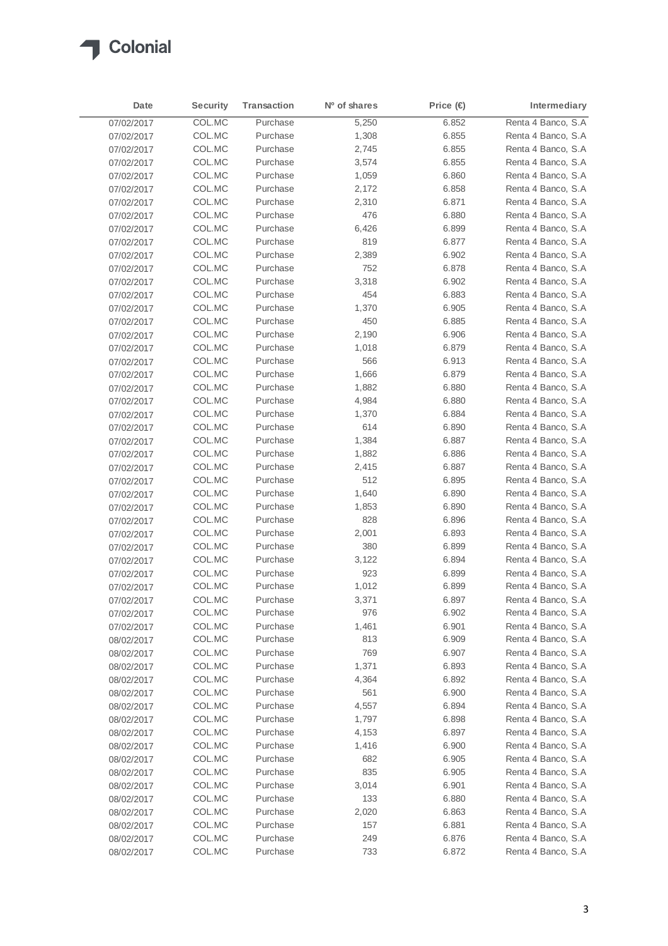

| Date       | <b>Security</b> | <b>Transaction</b> | Nº of shares | Price (€) | Intermediary        |
|------------|-----------------|--------------------|--------------|-----------|---------------------|
| 07/02/2017 | COL.MC          | Purchase           | 5,250        | 6.852     | Renta 4 Banco, S.A  |
| 07/02/2017 | COL.MC          | Purchase           | 1,308        | 6.855     | Renta 4 Banco, S.A. |
| 07/02/2017 | COL.MC          | Purchase           | 2,745        | 6.855     | Renta 4 Banco, S.A  |
| 07/02/2017 | COL.MC          | Purchase           | 3,574        | 6.855     | Renta 4 Banco, S.A  |
| 07/02/2017 | COL.MC          | Purchase           | 1,059        | 6.860     | Renta 4 Banco, S.A  |
| 07/02/2017 | COL.MC          | Purchase           | 2,172        | 6.858     | Renta 4 Banco, S.A  |
| 07/02/2017 | COL.MC          | Purchase           | 2,310        | 6.871     | Renta 4 Banco, S.A  |
| 07/02/2017 | COL.MC          | Purchase           | 476          | 6.880     | Renta 4 Banco, S.A  |
| 07/02/2017 | COL.MC          | Purchase           | 6,426        | 6.899     | Renta 4 Banco, S.A. |
| 07/02/2017 | COL.MC          | Purchase           | 819          | 6.877     | Renta 4 Banco, S.A. |
| 07/02/2017 | COL.MC          | Purchase           | 2,389        | 6.902     | Renta 4 Banco, S.A. |
| 07/02/2017 | COL.MC          | Purchase           | 752          | 6.878     | Renta 4 Banco, S.A. |
| 07/02/2017 | COL.MC          | Purchase           | 3,318        | 6.902     | Renta 4 Banco, S.A  |
| 07/02/2017 | COL.MC          | Purchase           | 454          | 6.883     | Renta 4 Banco, S.A  |
| 07/02/2017 | COL.MC          | Purchase           | 1,370        | 6.905     | Renta 4 Banco, S.A. |
| 07/02/2017 | COL.MC          | Purchase           | 450          | 6.885     | Renta 4 Banco, S.A  |
| 07/02/2017 | COL.MC          | Purchase           | 2,190        | 6.906     | Renta 4 Banco, S.A. |
| 07/02/2017 | COL.MC          | Purchase           | 1,018        | 6.879     | Renta 4 Banco, S.A  |
| 07/02/2017 | COL.MC          | Purchase           | 566          | 6.913     | Renta 4 Banco, S.A. |
| 07/02/2017 | COL.MC          | Purchase           | 1,666        | 6.879     | Renta 4 Banco, S.A  |
| 07/02/2017 | COL.MC          | Purchase           | 1,882        | 6.880     | Renta 4 Banco, S.A  |
| 07/02/2017 | COL.MC          | Purchase           | 4,984        | 6.880     | Renta 4 Banco, S.A  |
| 07/02/2017 | COL.MC          | Purchase           | 1,370        | 6.884     | Renta 4 Banco, S.A  |
| 07/02/2017 | COL.MC          | Purchase           | 614          | 6.890     | Renta 4 Banco, S.A  |
| 07/02/2017 | COL.MC          | Purchase           | 1,384        | 6.887     | Renta 4 Banco, S.A  |
| 07/02/2017 | COL.MC          | Purchase           | 1,882        | 6.886     | Renta 4 Banco, S.A  |
| 07/02/2017 | COL.MC          | Purchase           | 2,415        | 6.887     | Renta 4 Banco, S.A  |
| 07/02/2017 | COL.MC          | Purchase           | 512          | 6.895     | Renta 4 Banco, S.A  |
| 07/02/2017 | COL.MC          | Purchase           | 1,640        | 6.890     | Renta 4 Banco, S.A  |
| 07/02/2017 | COL.MC          | Purchase           | 1,853        | 6.890     | Renta 4 Banco, S.A  |
| 07/02/2017 | COL.MC          | Purchase           | 828          | 6.896     | Renta 4 Banco, S.A  |
| 07/02/2017 | COL.MC          | Purchase           | 2,001        | 6.893     | Renta 4 Banco, S.A  |
| 07/02/2017 | COL.MC          | Purchase           | 380          | 6.899     | Renta 4 Banco, S.A  |
| 07/02/2017 | COL.MC          | Purchase           | 3,122        | 6.894     | Renta 4 Banco, S.A  |
| 07/02/2017 | COL.MC          | Purchase           | 923          | 6.899     | Renta 4 Banco, S.A  |
| 07/02/2017 | COL.MC          | Purchase           | 1,012        | 6.899     | Renta 4 Banco, S.A  |
| 07/02/2017 | COL.MC          | Purchase           | 3,371        | 6.897     | Renta 4 Banco, S.A  |
| 07/02/2017 | COL.MC          | Purchase           | 976          | 6.902     | Renta 4 Banco, S.A  |
| 07/02/2017 | COL.MC          | Purchase           | 1,461        | 6.901     | Renta 4 Banco, S.A  |
| 08/02/2017 | COL.MC          | Purchase           | 813          | 6.909     | Renta 4 Banco, S.A  |
| 08/02/2017 | COL.MC          | Purchase           | 769          | 6.907     | Renta 4 Banco, S.A  |
| 08/02/2017 | COL.MC          | Purchase           | 1,371        | 6.893     | Renta 4 Banco, S.A  |
| 08/02/2017 | COL.MC          | Purchase           | 4,364        | 6.892     | Renta 4 Banco, S.A  |
| 08/02/2017 | COL.MC          | Purchase           | 561          | 6.900     | Renta 4 Banco, S.A  |
| 08/02/2017 | COL.MC          | Purchase           | 4,557        | 6.894     | Renta 4 Banco, S.A  |
| 08/02/2017 | COL.MC          | Purchase           | 1,797        | 6.898     | Renta 4 Banco, S.A  |
| 08/02/2017 | COL.MC          | Purchase           | 4,153        | 6.897     | Renta 4 Banco, S.A  |
| 08/02/2017 | COL.MC          | Purchase           | 1,416        | 6.900     | Renta 4 Banco, S.A  |
| 08/02/2017 | COL.MC          | Purchase           | 682          | 6.905     | Renta 4 Banco, S.A  |
| 08/02/2017 | COL.MC          | Purchase           | 835          | 6.905     | Renta 4 Banco, S.A  |
| 08/02/2017 | COL.MC          | Purchase           | 3,014        | 6.901     | Renta 4 Banco, S.A  |
| 08/02/2017 | COL.MC          | Purchase           | 133          | 6.880     | Renta 4 Banco, S.A  |
| 08/02/2017 | COL.MC          | Purchase           | 2,020        | 6.863     | Renta 4 Banco, S.A  |
| 08/02/2017 | COL.MC          | Purchase           | 157          | 6.881     | Renta 4 Banco, S.A  |
| 08/02/2017 | COL.MC          | Purchase           | 249          | 6.876     | Renta 4 Banco, S.A  |
| 08/02/2017 | COL.MC          | Purchase           | 733          | 6.872     | Renta 4 Banco, S.A. |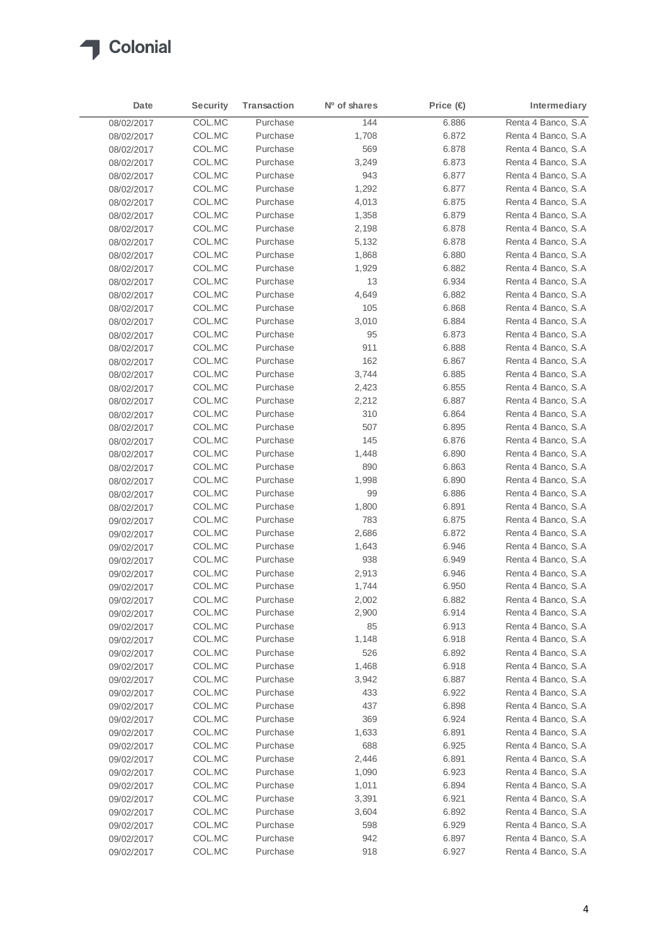

| Date       | Security | <b>Transaction</b> | N <sup>o</sup> of shares | Price (€ | Intermediary        |
|------------|----------|--------------------|--------------------------|----------|---------------------|
| 08/02/2017 | COL.MC   | Purchase           | 144                      | 6.886    | Renta 4 Banco, S.A  |
| 08/02/2017 | COL.MC   | Purchase           | 1,708                    | 6.872    | Renta 4 Banco, S.A  |
| 08/02/2017 | COL.MC   | Purchase           | 569                      | 6.878    | Renta 4 Banco, S.A  |
| 08/02/2017 | COL.MC   | Purchase           | 3,249                    | 6.873    | Renta 4 Banco, S.A  |
| 08/02/2017 | COL.MC   | Purchase           | 943                      | 6.877    | Renta 4 Banco, S.A  |
| 08/02/2017 | COL.MC   | Purchase           | 1,292                    | 6.877    | Renta 4 Banco, S.A  |
| 08/02/2017 | COL.MC   | Purchase           | 4,013                    | 6.875    | Renta 4 Banco, S.A  |
| 08/02/2017 | COL.MC   | Purchase           | 1,358                    | 6.879    | Renta 4 Banco, S.A  |
| 08/02/2017 | COL.MC   | Purchase           | 2,198                    | 6.878    | Renta 4 Banco, S.A  |
| 08/02/2017 | COL.MC   | Purchase           | 5,132                    | 6.878    | Renta 4 Banco, S.A  |
| 08/02/2017 | COL.MC   | Purchase           | 1,868                    | 6.880    | Renta 4 Banco, S.A  |
| 08/02/2017 | COL.MC   | Purchase           | 1,929                    | 6.882    | Renta 4 Banco, S.A  |
| 08/02/2017 | COL.MC   | Purchase           | 13                       | 6.934    | Renta 4 Banco, S.A  |
| 08/02/2017 | COL.MC   | Purchase           | 4,649                    | 6.882    | Renta 4 Banco, S.A  |
| 08/02/2017 | COL.MC   | Purchase           | 105                      | 6.868    | Renta 4 Banco, S.A  |
| 08/02/2017 | COL.MC   | Purchase           | 3,010                    | 6.884    | Renta 4 Banco, S.A  |
| 08/02/2017 | COL.MC   | Purchase           | 95                       | 6.873    | Renta 4 Banco, S.A  |
| 08/02/2017 | COL.MC   | Purchase           | 911                      | 6.888    | Renta 4 Banco, S.A  |
| 08/02/2017 | COL.MC   | Purchase           | 162                      | 6.867    | Renta 4 Banco, S.A  |
| 08/02/2017 | COL.MC   | Purchase           | 3,744                    | 6.885    | Renta 4 Banco, S.A  |
| 08/02/2017 | COL.MC   | Purchase           | 2,423                    | 6.855    | Renta 4 Banco, S.A  |
| 08/02/2017 | COL.MC   | Purchase           | 2,212                    | 6.887    | Renta 4 Banco, S.A  |
| 08/02/2017 | COL.MC   | Purchase           | 310                      | 6.864    | Renta 4 Banco, S.A  |
| 08/02/2017 | COL.MC   | Purchase           | 507                      | 6.895    | Renta 4 Banco, S.A  |
| 08/02/2017 | COL.MC   | Purchase           | 145                      | 6.876    | Renta 4 Banco, S.A  |
| 08/02/2017 | COL.MC   | Purchase           | 1,448                    | 6.890    | Renta 4 Banco, S.A  |
| 08/02/2017 | COL.MC   | Purchase           | 890                      | 6.863    | Renta 4 Banco, S.A  |
| 08/02/2017 | COL.MC   | Purchase           | 1,998                    | 6.890    | Renta 4 Banco, S.A  |
| 08/02/2017 | COL.MC   | Purchase           | 99                       | 6.886    | Renta 4 Banco, S.A  |
| 08/02/2017 | COL.MC   | Purchase           | 1,800                    | 6.891    | Renta 4 Banco, S.A  |
| 09/02/2017 | COL.MC   | Purchase           | 783                      | 6.875    | Renta 4 Banco, S.A  |
| 09/02/2017 | COL.MC   | Purchase           | 2,686                    | 6.872    | Renta 4 Banco, S.A  |
| 09/02/2017 | COL.MC   | Purchase           | 1,643                    | 6.946    | Renta 4 Banco, S.A. |
| 09/02/2017 | COL.MC   | Purchase           | 938                      | 6.949    | Renta 4 Banco, S.A  |
| 09/02/2017 | COL.MC   | Purchase           | 2,913                    | 6.946    | Renta 4 Banco, S.A  |
| 09/02/2017 | COL.MC   | Purchase           | 1,744                    | 6.950    | Renta 4 Banco, S.A  |
| 09/02/2017 | COL.MC   | Purchase           | 2,002                    | 6.882    | Renta 4 Banco, S.A  |
| 09/02/2017 | COL.MC   | Purchase           | 2,900                    | 6.914    | Renta 4 Banco, S.A  |
| 09/02/2017 | COL.MC   | Purchase           | 85                       | 6.913    | Renta 4 Banco, S.A  |
| 09/02/2017 | COL.MC   | Purchase           | 1,148                    | 6.918    | Renta 4 Banco, S.A  |
| 09/02/2017 | COL.MC   | Purchase           | 526                      | 6.892    | Renta 4 Banco, S.A  |
| 09/02/2017 | COL.MC   | Purchase           | 1,468                    | 6.918    | Renta 4 Banco, S.A  |
| 09/02/2017 | COL.MC   | Purchase           | 3,942                    | 6.887    | Renta 4 Banco, S.A  |
| 09/02/2017 | COL.MC   | Purchase           | 433                      | 6.922    | Renta 4 Banco, S.A  |
| 09/02/2017 | COL.MC   | Purchase           | 437                      | 6.898    | Renta 4 Banco, S.A  |
| 09/02/2017 | COL.MC   | Purchase           | 369                      | 6.924    | Renta 4 Banco, S.A  |
| 09/02/2017 | COL.MC   | Purchase           | 1,633                    | 6.891    | Renta 4 Banco, S.A  |
| 09/02/2017 | COL.MC   | Purchase           | 688                      | 6.925    | Renta 4 Banco, S.A  |
| 09/02/2017 | COL.MC   | Purchase           | 2,446                    | 6.891    | Renta 4 Banco, S.A  |
| 09/02/2017 | COL.MC   | Purchase           | 1,090                    | 6.923    | Renta 4 Banco, S.A  |
| 09/02/2017 | COL.MC   | Purchase           | 1,011                    | 6.894    | Renta 4 Banco, S.A  |
| 09/02/2017 | COL.MC   | Purchase           | 3,391                    | 6.921    | Renta 4 Banco, S.A  |
| 09/02/2017 | COL.MC   | Purchase           | 3,604                    | 6.892    | Renta 4 Banco, S.A  |
| 09/02/2017 | COL.MC   | Purchase           | 598                      | 6.929    | Renta 4 Banco, S.A  |
| 09/02/2017 | COL.MC   | Purchase           | 942                      | 6.897    | Renta 4 Banco, S.A  |
| 09/02/2017 | COL.MC   | Purchase           | 918                      | 6.927    | Renta 4 Banco, S.A  |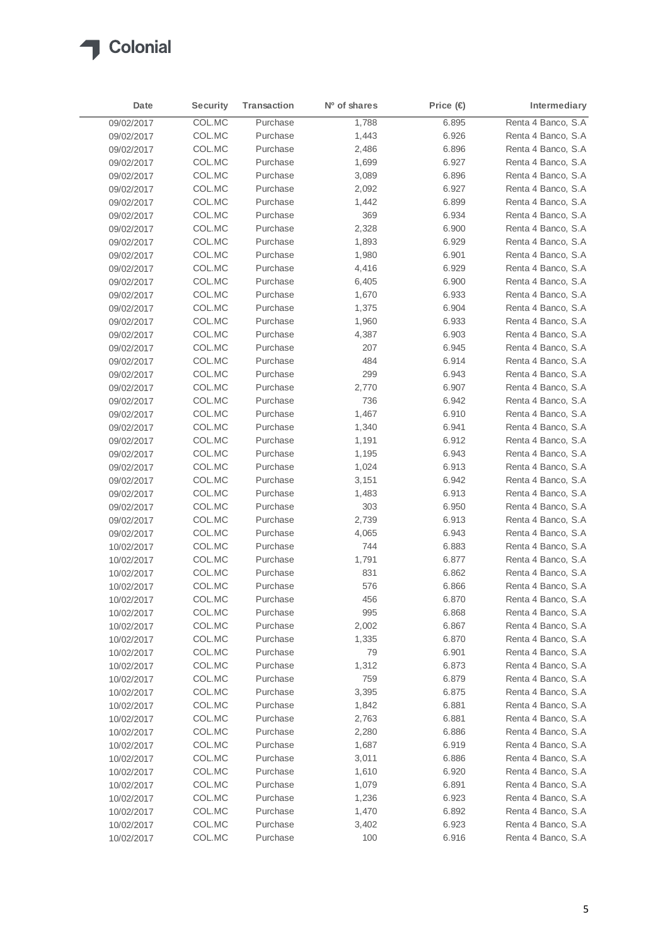

| Date       | <b>Security</b> | <b>Transaction</b> | Nº of shares | Price (€ | Intermediary        |
|------------|-----------------|--------------------|--------------|----------|---------------------|
| 09/02/2017 | COL.MC          | Purchase           | 1,788        | 6.895    | Renta 4 Banco, S.A  |
| 09/02/2017 | COL.MC          | Purchase           | 1,443        | 6.926    | Renta 4 Banco, S.A  |
| 09/02/2017 | COL.MC          | Purchase           | 2,486        | 6.896    | Renta 4 Banco, S.A  |
| 09/02/2017 | COL.MC          | Purchase           | 1,699        | 6.927    | Renta 4 Banco, S.A. |
| 09/02/2017 | COL.MC          | Purchase           | 3,089        | 6.896    | Renta 4 Banco, S.A  |
| 09/02/2017 | COL.MC          | Purchase           | 2,092        | 6.927    | Renta 4 Banco, S.A  |
| 09/02/2017 | COL.MC          | Purchase           | 1,442        | 6.899    | Renta 4 Banco, S.A  |
| 09/02/2017 | COL.MC          | Purchase           | 369          | 6.934    | Renta 4 Banco, S.A  |
| 09/02/2017 | COL.MC          | Purchase           | 2,328        | 6.900    | Renta 4 Banco, S.A  |
| 09/02/2017 | COL.MC          | Purchase           | 1,893        | 6.929    | Renta 4 Banco, S.A. |
| 09/02/2017 | COL.MC          | Purchase           | 1,980        | 6.901    | Renta 4 Banco, S.A  |
| 09/02/2017 | COL.MC          | Purchase           | 4,416        | 6.929    | Renta 4 Banco, S.A. |
| 09/02/2017 | COL.MC          | Purchase           | 6,405        | 6.900    | Renta 4 Banco, S.A  |
| 09/02/2017 | COL.MC          | Purchase           | 1,670        | 6.933    | Renta 4 Banco, S.A  |
| 09/02/2017 | COL.MC          | Purchase           | 1,375        | 6.904    | Renta 4 Banco, S.A  |
| 09/02/2017 | COL.MC          | Purchase           | 1,960        | 6.933    | Renta 4 Banco, S.A  |
| 09/02/2017 | COL.MC          | Purchase           | 4,387        | 6.903    | Renta 4 Banco, S.A  |
| 09/02/2017 | COL.MC          | Purchase           | 207          | 6.945    | Renta 4 Banco, S.A  |
| 09/02/2017 | COL.MC          | Purchase           | 484          | 6.914    | Renta 4 Banco, S.A  |
| 09/02/2017 | COL.MC          | Purchase           | 299          | 6.943    | Renta 4 Banco, S.A  |
| 09/02/2017 | COL.MC          | Purchase           | 2,770        | 6.907    | Renta 4 Banco, S.A  |
| 09/02/2017 | COL.MC          | Purchase           | 736          | 6.942    | Renta 4 Banco, S.A  |
| 09/02/2017 | COL.MC          | Purchase           | 1,467        | 6.910    | Renta 4 Banco, S.A  |
| 09/02/2017 | COL.MC          | Purchase           | 1,340        | 6.941    | Renta 4 Banco, S.A  |
| 09/02/2017 | COL.MC          | Purchase           | 1,191        | 6.912    | Renta 4 Banco, S.A  |
| 09/02/2017 | COL.MC          | Purchase           | 1,195        | 6.943    | Renta 4 Banco, S.A  |
| 09/02/2017 | COL.MC          | Purchase           | 1,024        | 6.913    | Renta 4 Banco, S.A  |
| 09/02/2017 | COL.MC          | Purchase           | 3,151        | 6.942    | Renta 4 Banco, S.A  |
| 09/02/2017 | COL.MC          | Purchase           | 1,483        | 6.913    | Renta 4 Banco, S.A  |
| 09/02/2017 | COL.MC          | Purchase           | 303          | 6.950    | Renta 4 Banco, S.A  |
| 09/02/2017 | COL.MC          | Purchase           | 2,739        | 6.913    | Renta 4 Banco, S.A  |
| 09/02/2017 | COL.MC          | Purchase           | 4,065        | 6.943    | Renta 4 Banco, S.A  |
| 10/02/2017 | COL.MC          | Purchase           | 744          | 6.883    | Renta 4 Banco, S.A  |
| 10/02/2017 | COL.MC          | Purchase           | 1,791        | 6.877    | Renta 4 Banco, S.A  |
| 10/02/2017 | COL.MC          | Purchase           | 831          | 6.862    | Renta 4 Banco, S.A  |
| 10/02/2017 | COL.MC          | Purchase           | 576          | 6.866    | Renta 4 Banco, S.A  |
| 10/02/2017 | COL.MC          | Purchase           | 456          | 6.870    | Renta 4 Banco, S.A  |
| 10/02/2017 | COL.MC          | Purchase           | 995          | 6.868    | Renta 4 Banco, S.A  |
| 10/02/2017 | COL.MC          | Purchase           | 2,002        | 6.867    | Renta 4 Banco, S.A  |
| 10/02/2017 | COL.MC          | Purchase           | 1,335        | 6.870    | Renta 4 Banco, S.A  |
| 10/02/2017 | COL.MC          | Purchase           | 79           | 6.901    | Renta 4 Banco, S.A  |
| 10/02/2017 | COL.MC          | Purchase           | 1,312        | 6.873    | Renta 4 Banco, S.A  |
| 10/02/2017 | COL.MC          | Purchase           | 759          | 6.879    | Renta 4 Banco, S.A  |
| 10/02/2017 | COL.MC          | Purchase           | 3,395        | 6.875    | Renta 4 Banco, S.A  |
| 10/02/2017 | COL.MC          | Purchase           | 1,842        | 6.881    | Renta 4 Banco, S.A  |
| 10/02/2017 | COL.MC          | Purchase           | 2,763        | 6.881    | Renta 4 Banco, S.A  |
| 10/02/2017 | COL.MC          | Purchase           | 2,280        | 6.886    | Renta 4 Banco, S.A  |
| 10/02/2017 | COL.MC          | Purchase           | 1,687        | 6.919    | Renta 4 Banco, S.A  |
| 10/02/2017 | COL.MC          | Purchase           | 3,011        | 6.886    | Renta 4 Banco, S.A  |
| 10/02/2017 | COL.MC          | Purchase           | 1,610        | 6.920    | Renta 4 Banco, S.A  |
| 10/02/2017 | COL.MC          | Purchase           | 1,079        | 6.891    | Renta 4 Banco, S.A  |
| 10/02/2017 | COL.MC          | Purchase           | 1,236        | 6.923    | Renta 4 Banco, S.A  |
| 10/02/2017 | COL.MC          | Purchase           | 1,470        | 6.892    | Renta 4 Banco, S.A  |
| 10/02/2017 | COL.MC          | Purchase           | 3,402        | 6.923    | Renta 4 Banco, S.A  |
| 10/02/2017 | COL.MC          | Purchase           | 100          | 6.916    | Renta 4 Banco, S.A  |